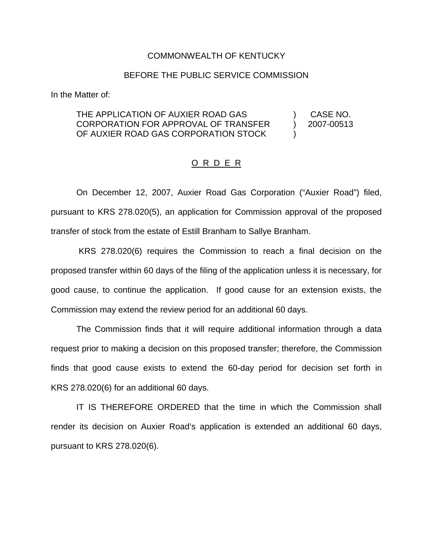## COMMONWEALTH OF KENTUCKY

## BEFORE THE PUBLIC SERVICE COMMISSION

In the Matter of:

## THE APPLICATION OF AUXIER ROAD GAS CORPORATION FOR APPROVAL OF TRANSFER OF AUXIER ROAD GAS CORPORATION STOCK ) CASE NO. ) 2007-00513 )

## O R D E R

On December 12, 2007, Auxier Road Gas Corporation ("Auxier Road") filed, pursuant to KRS 278.020(5), an application for Commission approval of the proposed transfer of stock from the estate of Estill Branham to Sallye Branham.

KRS 278.020(6) requires the Commission to reach a final decision on the proposed transfer within 60 days of the filing of the application unless it is necessary, for good cause, to continue the application. If good cause for an extension exists, the Commission may extend the review period for an additional 60 days.

The Commission finds that it will require additional information through a data request prior to making a decision on this proposed transfer; therefore, the Commission finds that good cause exists to extend the 60-day period for decision set forth in KRS 278.020(6) for an additional 60 days.

IT IS THEREFORE ORDERED that the time in which the Commission shall render its decision on Auxier Road's application is extended an additional 60 days, pursuant to KRS 278.020(6).